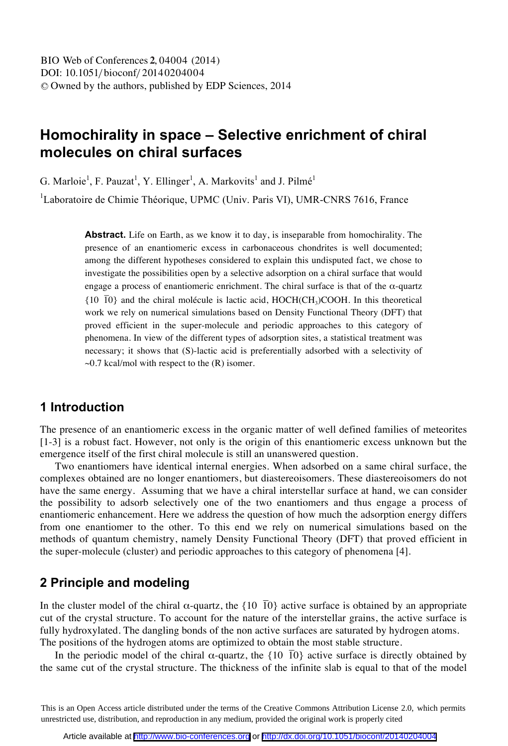# **Homochirality in space – Selective enrichment of chiral molecules on chiral surfaces**

G. Marloie<sup>1</sup>, F. Pauzat<sup>1</sup>, Y. Ellinger<sup>1</sup>, A. Markovits<sup>1</sup> and J. Pilmé<sup>1</sup>

<sup>1</sup>Laboratoire de Chimie Théorique, UPMC (Univ. Paris VI), UMR-CNRS 7616, France

**Abstract.** Life on Earth, as we know it to day, is inseparable from homochirality. The presence of an enantiomeric excess in carbonaceous chondrites is well documented; among the different hypotheses considered to explain this undisputed fact, we chose to investigate the possibilities open by a selective adsorption on a chiral surface that would engage a process of enantiomeric enrichment. The chiral surface is that of the  $\alpha$ -quartz  ${10\over{10}}$  and the chiral molécule is lactic acid, HOCH(CH<sub>3</sub>)COOH. In this theoretical work we rely on numerical simulations based on Density Functional Theory (DFT) that proved efficient in the super-molecule and periodic approaches to this category of phenomena. In view of the different types of adsorption sites, a statistical treatment was necessary; it shows that (S)-lactic acid is preferentially adsorbed with a selectivity of  $\sim$ 0.7 kcal/mol with respect to the (R) isomer.

#### **1 Introduction**

The presence of an enantiomeric excess in the organic matter of well defined families of meteorites [1-3] is a robust fact. However, not only is the origin of this enantiomeric excess unknown but the emergence itself of the first chiral molecule is still an unanswered question.

Two enantiomers have identical internal energies. When adsorbed on a same chiral surface, the complexes obtained are no longer enantiomers, but diastereoisomers. These diastereoisomers do not have the same energy. Assuming that we have a chiral interstellar surface at hand, we can consider the possibility to adsorb selectively one of the two enantiomers and thus engage a process of enantiomeric enhancement. Here we address the question of how much the adsorption energy differs from one enantiomer to the other. To this end we rely on numerical simulations based on the methods of quantum chemistry, namely Density Functional Theory (DFT) that proved efficient in the super-molecule (cluster) and periodic approaches to this category of phenomena [4].

### **2 Principle and modeling**

In the cluster model of the chiral  $\alpha$ -quartz, the {10  $\overline{10}$ } active surface is obtained by an appropriate cut of the crystal structure. To account for the nature of the interstellar grains, the active surface is fully hydroxylated. The dangling bonds of the non active surfaces are saturated by hydrogen atoms. The positions of the hydrogen atoms are optimized to obtain the most stable structure.

In the periodic model of the chiral  $\alpha$ -quartz, the {10  $\bar{10}$ } active surface is directly obtained by the same cut of the crystal structure. The thickness of the infinite slab is equal to that of the model

This is an Open Access article distributed under the terms of the Creative Commons Attribution License 2.0, which permits unrestricted use, distribution, and reproduction in any medium, provided the original work is properly cited